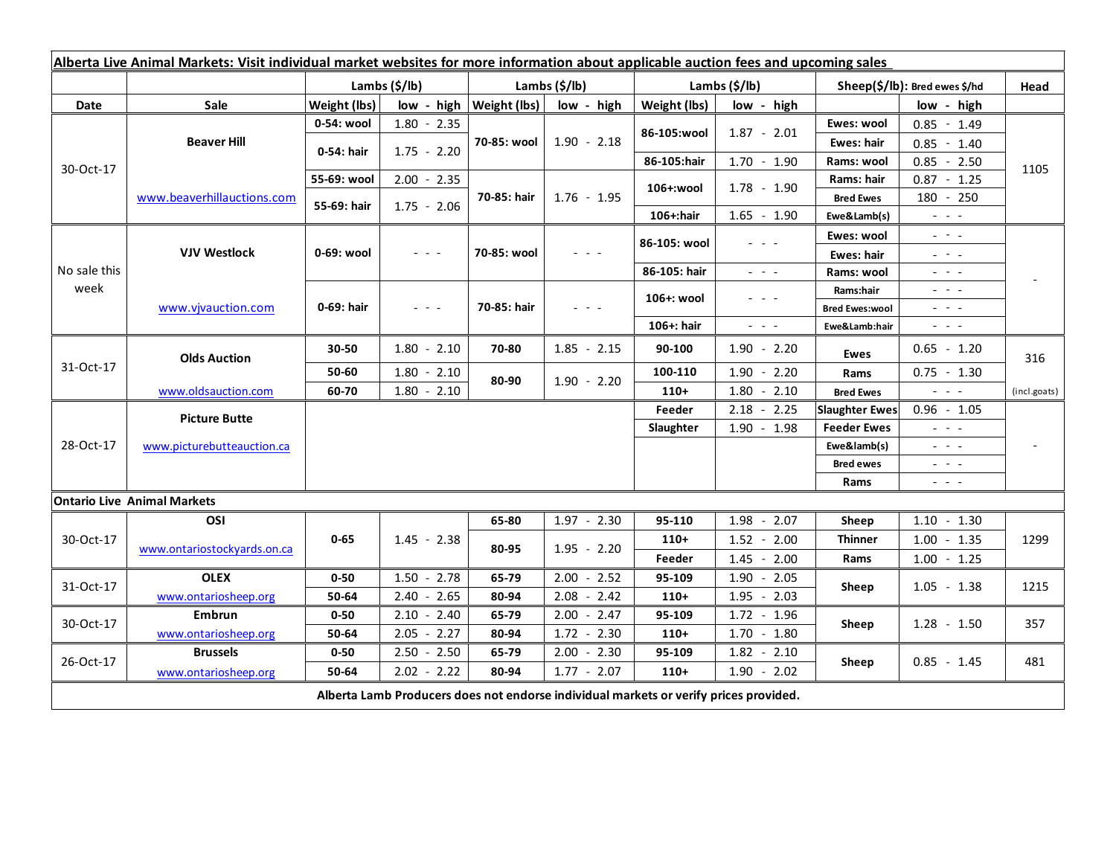| Alberta Live Animal Markets: Visit individual market websites for more information about applicable auction fees and upcoming sales |                                    |                           |                 |                              |               |                           |                                                                                                                           |                               |                                                                                                                           |              |
|-------------------------------------------------------------------------------------------------------------------------------------|------------------------------------|---------------------------|-----------------|------------------------------|---------------|---------------------------|---------------------------------------------------------------------------------------------------------------------------|-------------------------------|---------------------------------------------------------------------------------------------------------------------------|--------------|
|                                                                                                                                     |                                    | Lambs $(\frac{2}{3})$ lb) |                 | Lambs (\$/lb)                |               | Lambs $(\frac{2}{3})$ lb) |                                                                                                                           | Sheep(\$/lb): Bred ewes \$/hd |                                                                                                                           | Head         |
| Date                                                                                                                                | Sale                               | Weight (lbs)              |                 | $low - high   Weight (lbs) $ | low - high    | Weight (lbs)              | low - high                                                                                                                |                               | low - high                                                                                                                |              |
| 30-Oct-17                                                                                                                           | <b>Beaver Hill</b>                 | 0-54: wool                | $1.80 - 2.35$   | 70-85: wool                  | $1.90 - 2.18$ |                           | $1.87 - 2.01$                                                                                                             | Ewes: wool                    | $0.85 - 1.49$                                                                                                             |              |
|                                                                                                                                     |                                    | 0-54: hair                | $1.75 - 2.20$   |                              |               | 86-105:wool               |                                                                                                                           | <b>Ewes: hair</b>             | $0.85 - 1.40$                                                                                                             |              |
|                                                                                                                                     |                                    |                           |                 |                              |               | 86-105:hair               | $1.70 - 1.90$                                                                                                             | Rams: wool                    | $0.85 - 2.50$                                                                                                             | 1105         |
|                                                                                                                                     | www.beaverhillauctions.com         | 55-69: wool               | $2.00 - 2.35$   | 70-85: hair                  | $1.76 - 1.95$ | 106+:wool                 | $1.78 - 1.90$                                                                                                             | Rams: hair                    | $0.87 - 1.25$                                                                                                             |              |
|                                                                                                                                     |                                    | 55-69: hair               | $1.75 - 2.06$   |                              |               |                           |                                                                                                                           | <b>Bred Ewes</b>              | 180 - 250                                                                                                                 |              |
|                                                                                                                                     |                                    |                           |                 |                              |               | 106+:hair                 | $1.65 - 1.90$                                                                                                             | Ewe&Lamb(s)                   | $\mathbb{Z}^2$ and $\mathbb{Z}^2$                                                                                         |              |
| No sale this<br>week                                                                                                                | <b>VJV Westlock</b>                | 0-69: wool                | $ -$            | 70-85: wool                  |               | 86-105: wool              |                                                                                                                           | Ewes: wool                    | $\frac{1}{2} \left( \frac{1}{2} \right) \left( \frac{1}{2} \right) \left( \frac{1}{2} \right) \left( \frac{1}{2} \right)$ |              |
|                                                                                                                                     |                                    |                           |                 |                              |               |                           |                                                                                                                           | <b>Ewes: hair</b>             | $\frac{1}{2}$ and $\frac{1}{2}$                                                                                           |              |
|                                                                                                                                     |                                    |                           |                 |                              |               | 86-105: hair              | $\omega_{\rm{eff}}$ , $\omega_{\rm{eff}}$ , $\omega_{\rm{eff}}$                                                           | Rams: wool                    | $\frac{1}{2} \left( \frac{1}{2} \right) = \frac{1}{2} \left( \frac{1}{2} \right) = \frac{1}{2}$                           |              |
|                                                                                                                                     | www.vjvauction.com                 | 0-69: hair                | $  -$           | 70-85: hair                  | $  -$         | 106+: wool                | $  -$                                                                                                                     | Rams:hair                     | $  -$                                                                                                                     |              |
|                                                                                                                                     |                                    |                           |                 |                              |               |                           |                                                                                                                           | <b>Bred Ewes:wool</b>         | $\frac{1}{2} \left( \frac{1}{2} \right) \left( \frac{1}{2} \right) \left( \frac{1}{2} \right) \left( \frac{1}{2} \right)$ |              |
|                                                                                                                                     |                                    |                           |                 |                              |               | 106+: hair                | $\frac{1}{2} \left( \frac{1}{2} \right) \left( \frac{1}{2} \right) \left( \frac{1}{2} \right) \left( \frac{1}{2} \right)$ | Ewe&Lamb:hair                 | $\frac{1}{2} \left( \frac{1}{2} \right) \left( \frac{1}{2} \right) \left( \frac{1}{2} \right) \left( \frac{1}{2} \right)$ |              |
| 31-Oct-17                                                                                                                           | <b>Olds Auction</b>                | $30 - 50$                 | $1.80 - 2.10$   | 70-80                        | $1.85 - 2.15$ | 90-100                    | $1.90 - 2.20$                                                                                                             | Ewes                          | $0.65 - 1.20$                                                                                                             | 316          |
|                                                                                                                                     |                                    | 50-60                     | $1.80 - 2.10$   | 80-90                        | $1.90 - 2.20$ | 100-110                   | $1.90 - 2.20$                                                                                                             | Rams                          | $0.75 - 1.30$                                                                                                             |              |
|                                                                                                                                     | www.oldsauction.com                | 60-70                     | $1.80 - 2.10$   |                              |               | $110+$                    | 1.80<br>$-2.10$                                                                                                           | <b>Bred Ewes</b>              | $\mathbb{Z}^2$ and $\mathbb{Z}^2$                                                                                         | (incl.goats) |
| 28-Oct-17                                                                                                                           | <b>Picture Butte</b>               |                           |                 |                              |               | Feeder                    | $2.18 - 2.25$                                                                                                             | <b>Slaughter Ewes</b>         | $0.96 - 1.05$                                                                                                             |              |
|                                                                                                                                     | www.picturebutteauction.ca         |                           |                 |                              |               | Slaughter                 | $1.90 - 1.98$                                                                                                             | <b>Feeder Ewes</b>            | $\frac{1}{2}$ and $\frac{1}{2}$                                                                                           |              |
|                                                                                                                                     |                                    |                           |                 |                              |               |                           |                                                                                                                           | Ewe&lamb(s)                   | $\frac{1}{2}$ and $\frac{1}{2}$                                                                                           |              |
|                                                                                                                                     |                                    |                           |                 |                              |               |                           |                                                                                                                           | <b>Bred ewes</b>              | $\mathbf{L} = \mathbf{L} \times \mathbf{L}$                                                                               |              |
|                                                                                                                                     |                                    |                           |                 |                              |               |                           |                                                                                                                           | Rams                          | $\frac{1}{2} \left( \frac{1}{2} \right) \left( \frac{1}{2} \right) \left( \frac{1}{2} \right) \left( \frac{1}{2} \right)$ |              |
|                                                                                                                                     | <b>Ontario Live Animal Markets</b> |                           |                 |                              |               |                           |                                                                                                                           |                               |                                                                                                                           |              |
| 30-Oct-17                                                                                                                           | OSI                                | $0 - 65$                  | $1.45 - 2.38$   | 65-80                        | $1.97 - 2.30$ | 95-110                    | $1.98 - 2.07$                                                                                                             | Sheep                         | $1.10 - 1.30$                                                                                                             | 1299         |
|                                                                                                                                     | www.ontariostockyards.on.ca        |                           |                 | 80-95                        | $1.95 - 2.20$ | $110+$                    | $1.52 - 2.00$                                                                                                             | <b>Thinner</b><br>Rams        | $1.00 - 1.35$                                                                                                             |              |
|                                                                                                                                     |                                    |                           |                 |                              |               | Feeder                    | $1.45 - 2.00$                                                                                                             |                               | $1.00 - 1.25$                                                                                                             |              |
| 31-Oct-17                                                                                                                           | <b>OLEX</b>                        | $0 - 50$                  | $1.50 - 2.78$   | 65-79                        | $2.00 - 2.52$ | 95-109                    | $1.90 - 2.05$                                                                                                             | Sheep                         | $1.05 - 1.38$                                                                                                             | 1215         |
|                                                                                                                                     | www.ontariosheep.org               | 50-64                     | $2.40 - 2.65$   | 80-94                        | $2.08 - 2.42$ | $110+$                    | $1.95 - 2.03$                                                                                                             |                               |                                                                                                                           |              |
| 30-Oct-17                                                                                                                           | Embrun                             | $0 - 50$                  | $2.10 - 2.40$   | 65-79                        | $2.00 - 2.47$ | 95-109                    | $1.72 - 1.96$                                                                                                             | Sheep                         | $1.28 - 1.50$                                                                                                             | 357          |
|                                                                                                                                     | www.ontariosheep.org               | 50-64                     | $-2.27$<br>2.05 | 80-94                        | $1.72 - 2.30$ | $110+$                    | $1.70 - 1.80$                                                                                                             |                               |                                                                                                                           |              |
| 26-Oct-17                                                                                                                           | <b>Brussels</b>                    | $0 - 50$                  | $2.50 - 2.50$   | 65-79                        | $2.00 - 2.30$ | 95-109                    | $1.82 - 2.10$                                                                                                             | Sheep                         | $0.85 - 1.45$                                                                                                             | 481          |
|                                                                                                                                     | www.ontariosheep.org               | 50-64                     | $2.02 - 2.22$   | 80-94                        | $1.77 - 2.07$ | $110+$                    | $1.90 - 2.02$                                                                                                             |                               |                                                                                                                           |              |
| Alberta Lamb Producers does not endorse individual markets or verify prices provided.                                               |                                    |                           |                 |                              |               |                           |                                                                                                                           |                               |                                                                                                                           |              |